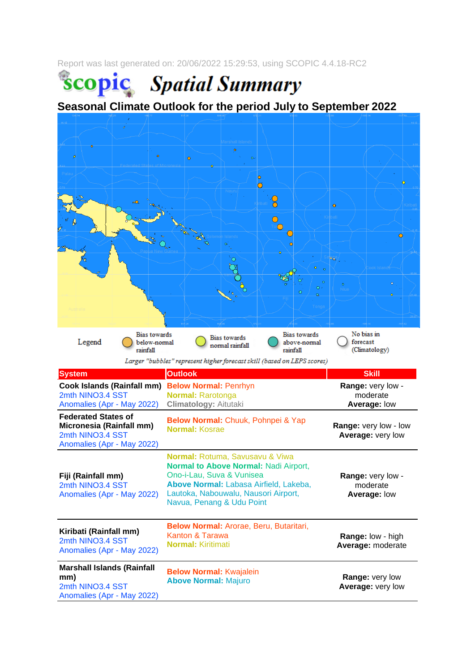Report was last generated on: 20/06/2022 15:29:53, using SCOPIC 4.4.18-RC2

**Scopic** Spatial Summary

**Seasonal Climate Outlook for the period July to September 2022**